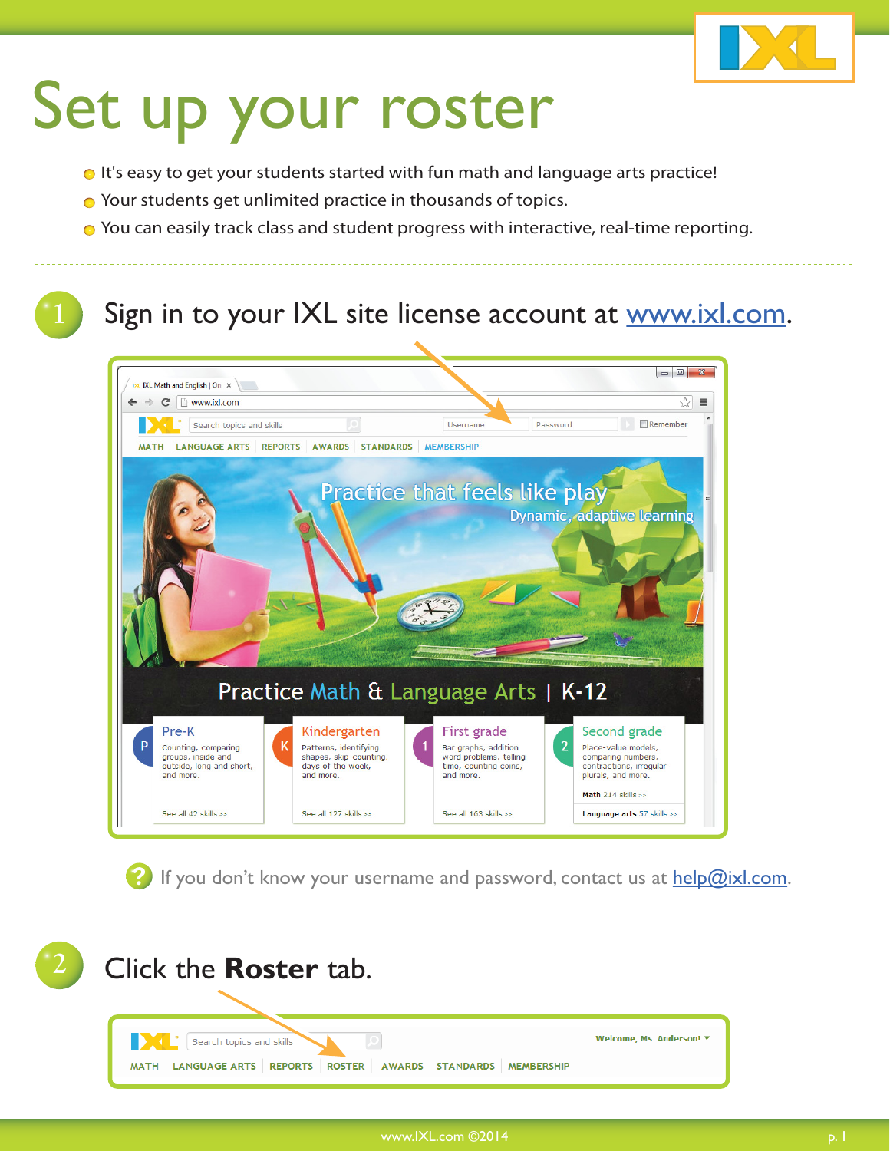

- It's easy to get your students started with fun math and language arts practice!
- **○** Your students get unlimited practice in thousands of topics.
- You can easily track class and student progress with interactive, real-time reporting.

#### Sign in to your IXL site license account at www.ixl.com.



**P** If you don't know your username and password, contact us at help@ixl.com.

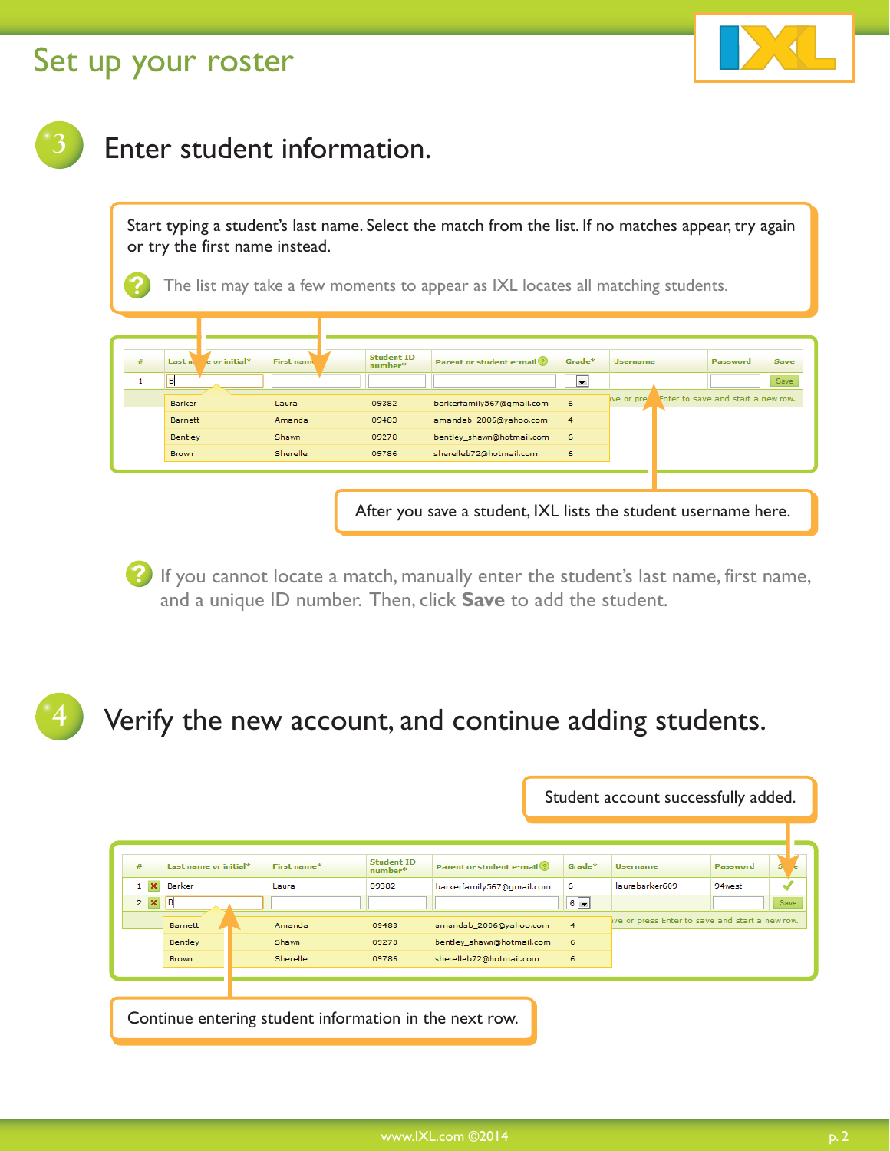

#### **3** Enter student information.

Start typing a student's last name. Select the match from the list. If no matches appear, try again or try the first name instead.

The list may take a few moments to appear as IXL locates all matching students.

| #            | Last n  | e or initial* | <b>First name</b> | <b>Student ID</b><br>number* | Parent or student e-mail ? | Grade*               | <b>Username</b> | Password                           | Save |
|--------------|---------|---------------|-------------------|------------------------------|----------------------------|----------------------|-----------------|------------------------------------|------|
| $\mathbf{H}$ | B       |               |                   |                              |                            | $\blacktriangledown$ |                 |                                    | Save |
|              | Barker  |               | Laura             | 09382                        | barkerfamily567@gmail.com  | $-6$                 | we or pres      | Enter to save and start a new row. |      |
|              | Barnett |               | Amanda            | 09483                        | amandab_2006@yahoo.com     | $\overline{4}$       |                 |                                    |      |
|              | Bentley |               | Shawn             | 09278                        | bentley shawn@hotmail.com  | 6                    |                 |                                    |      |
|              | Brown   |               | Sherelle          | 09786                        | sherelleb72@hotmail.com    | 6                    |                 |                                    |      |

After you save a student, IXL lists the student username here.

If you cannot locate a match, manually enter the student's last name, first name, and a unique ID number. Then, click **Save** to add the student.

#### **4** Verify the new account, and continue adding students.

|            |                                                        |             |                              |                              | Student account successfully added. |                                                |                 |      |  |
|------------|--------------------------------------------------------|-------------|------------------------------|------------------------------|-------------------------------------|------------------------------------------------|-----------------|------|--|
|            |                                                        |             |                              |                              |                                     |                                                |                 |      |  |
| #          | Last name or initial*                                  | First name* | <b>Student ID</b><br>number* | Parent or student e-mail (?) | Grade*                              | <b>Username</b>                                | <b>Password</b> |      |  |
| $1 \times$ | Barker                                                 | Laura       | 09382                        | barkerfamily567@gmail.com    | 6                                   | laurabarker609                                 | 94west          |      |  |
| $2 \times$ | B                                                      |             |                              |                              | $6 -$                               |                                                |                 | Save |  |
|            | <b>Barnett</b>                                         | Amanda      | 09483                        | amandab_2006@yahoo.com       | 4                                   | ve or press Enter to save and start a new row. |                 |      |  |
|            | <b>Bentley</b>                                         | Shawn       | 09278                        | bentley shawn@hotmail.com    | 6                                   |                                                |                 |      |  |
|            | <b>Brown</b>                                           | Sherelle    | 09786                        | sherelleb72@hotmail.com      | 6                                   |                                                |                 |      |  |
|            |                                                        |             |                              |                              |                                     |                                                |                 |      |  |
|            |                                                        |             |                              |                              |                                     |                                                |                 |      |  |
|            | Continue entering student information in the next row. |             |                              |                              |                                     |                                                |                 |      |  |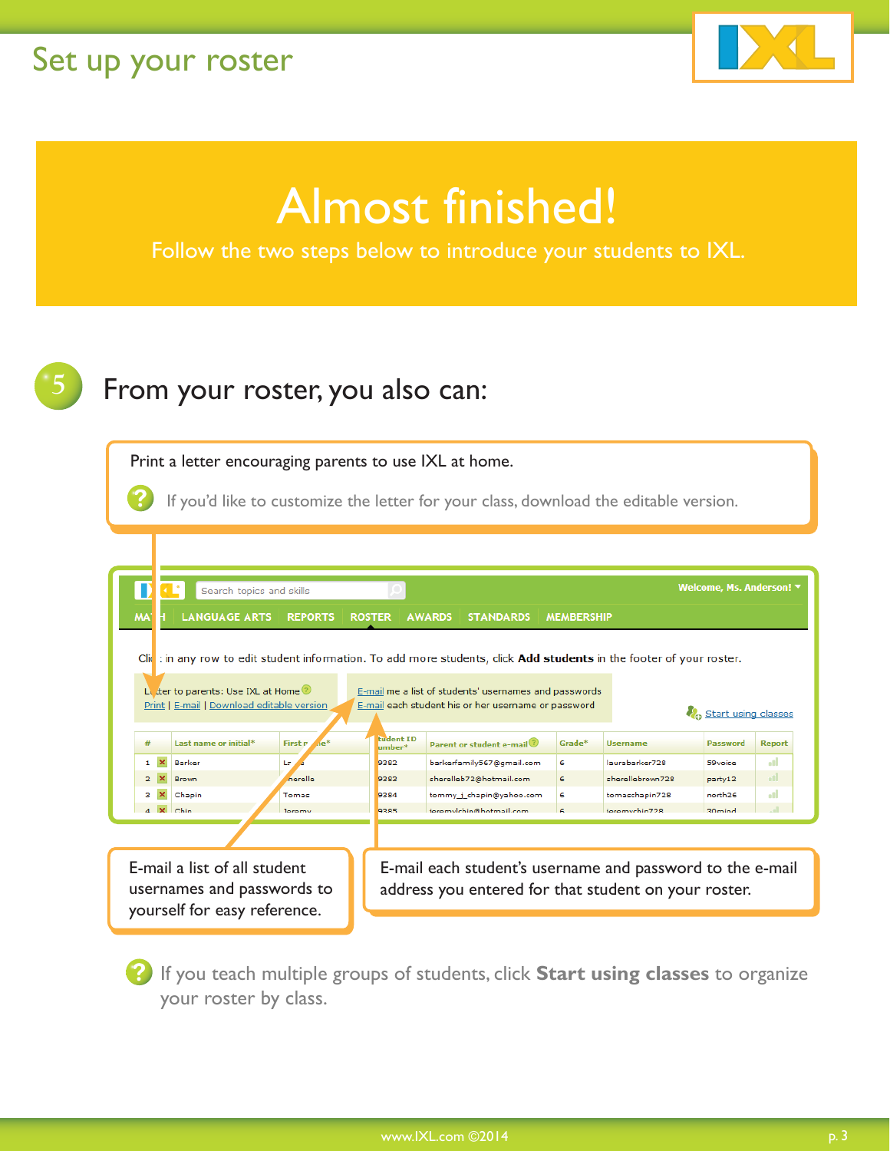

# Almost finished!

Follow the two steps below to introduce your students to IXL.



### **5** From your roster, you also can:

Print a letter encouraging parents to use IXL at home.

If you'd like to customize the letter for your class, download the editable version.

|              | Search topics and skills                                                                                                                                                                                                         |                                   |                            |                                                                                                                   |                   |                  | Welcome, Ms. Anderson! ▼ |               |  |  |  |
|--------------|----------------------------------------------------------------------------------------------------------------------------------------------------------------------------------------------------------------------------------|-----------------------------------|----------------------------|-------------------------------------------------------------------------------------------------------------------|-------------------|------------------|--------------------------|---------------|--|--|--|
| <b>MA</b>    | <b>LANGUAGE ARTS</b>                                                                                                                                                                                                             | <b>REPORTS</b>                    | <b>ROSTER</b>              | <b>STANDARDS</b><br><b>AWARDS</b>                                                                                 | <b>MEMBERSHIP</b> |                  |                          |               |  |  |  |
|              | Clic : in any row to edit student information. To add more students, click <b>Add students</b> in the footer of your roster.                                                                                                     |                                   |                            |                                                                                                                   |                   |                  |                          |               |  |  |  |
|              | Le ter to parents: Use IXL at Home<br>E-mail me a list of students' usernames and passwords<br>Print   E-mail   Download editable version<br>E-mail each student his or her username or password<br><b>A</b> Start using classes |                                   |                            |                                                                                                                   |                   |                  |                          |               |  |  |  |
| #            | Last name or initial*                                                                                                                                                                                                            | 10 <sup>4</sup><br>First <i>n</i> | <b>fudent ID</b><br>umber* | Parent or student e-mail                                                                                          | Grade*            | <b>Username</b>  | <b>Password</b>          | <b>Report</b> |  |  |  |
| $\mathbf{1}$ | $\boldsymbol{\times}$<br>Barker                                                                                                                                                                                                  | La                                | 9382                       | barkerfamily567@gmail.com                                                                                         | 6                 | laurabarker728   | 59voice                  | ыl            |  |  |  |
| 2.           | <b>Brown</b>                                                                                                                                                                                                                     | nerelle                           | 9383                       | sherelleb72@hotmail.com                                                                                           | 6                 | sherellebrown728 | party12                  | пL            |  |  |  |
| з            | Chapin                                                                                                                                                                                                                           | Tomas                             | 9384                       | tommy i chapin@vahoo.com                                                                                          | 6                 | tomaschapin728   | north <sub>26</sub>      | ٠H            |  |  |  |
|              | $4 \times$ Chin                                                                                                                                                                                                                  | leremy                            | 9385                       | jeremylchin@hotmail.com                                                                                           |                   | ieremvchin728    | 30 <sub>mind</sub>       |               |  |  |  |
|              |                                                                                                                                                                                                                                  |                                   |                            |                                                                                                                   |                   |                  |                          |               |  |  |  |
|              | E-mail a list of all student<br>usernames and passwords to<br>yourself for easy reference.                                                                                                                                       |                                   |                            | E-mail each student's username and password to the e-mail<br>address you entered for that student on your roster. |                   |                  |                          |               |  |  |  |

If you teach multiple groups of students, click **Start using classes** to organize your roster by class.